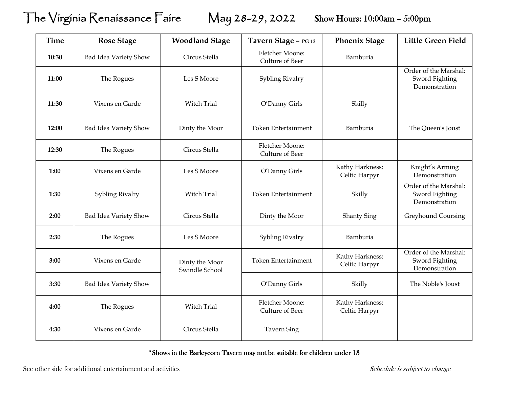## The Virginia Renaissance Faire May 28-29, 2022Show Hours: 10:00am – 5:00pm

| <b>Time</b> | <b>Rose Stage</b>     | <b>Woodland Stage</b>            | Tavern Stage - PG 13               | <b>Phoenix Stage</b>             | <b>Little Green Field</b>                                |
|-------------|-----------------------|----------------------------------|------------------------------------|----------------------------------|----------------------------------------------------------|
| 10:30       | Bad Idea Variety Show | Circus Stella                    | Fletcher Moone:<br>Culture of Beer | Bamburia                         |                                                          |
| 11:00       | The Rogues            | Les S Moore                      | Sybling Rivalry                    |                                  | Order of the Marshal:<br>Sword Fighting<br>Demonstration |
| 11:30       | Vixens en Garde       | <b>Witch Trial</b>               | O'Danny Girls                      | Skilly                           |                                                          |
| 12:00       | Bad Idea Variety Show | Dinty the Moor                   | <b>Token Entertainment</b>         | Bamburia                         | The Queen's Joust                                        |
| 12:30       | The Rogues            | Circus Stella                    | Fletcher Moone:<br>Culture of Beer |                                  |                                                          |
| 1:00        | Vixens en Garde       | Les S Moore                      | O'Danny Girls                      | Kathy Harkness:<br>Celtic Harpyr | Knight's Arming<br>Demonstration                         |
| 1:30        | Sybling Rivalry       | <b>Witch Trial</b>               | <b>Token Entertainment</b>         | Skilly                           | Order of the Marshal:<br>Sword Fighting<br>Demonstration |
| 2:00        | Bad Idea Variety Show | Circus Stella                    | Dinty the Moor                     | <b>Shanty Sing</b>               | Greyhound Coursing                                       |
| 2:30        | The Rogues            | Les S Moore                      | Sybling Rivalry                    | Bamburia                         |                                                          |
| 3:00        | Vixens en Garde       | Dinty the Moor<br>Swindle School | <b>Token Entertainment</b>         | Kathy Harkness:<br>Celtic Harpyr | Order of the Marshal:<br>Sword Fighting<br>Demonstration |
| 3:30        | Bad Idea Variety Show |                                  | O'Danny Girls                      | Skilly                           | The Noble's Joust                                        |
| 4:00        | The Rogues            | Witch Trial                      | Fletcher Moone:<br>Culture of Beer | Kathy Harkness:<br>Celtic Harpyr |                                                          |
| 4:30        | Vixens en Garde       | Circus Stella                    | <b>Tavern Sing</b>                 |                                  |                                                          |

\*Shows in the Barleycorn Tavern may not be suitable for children under 13